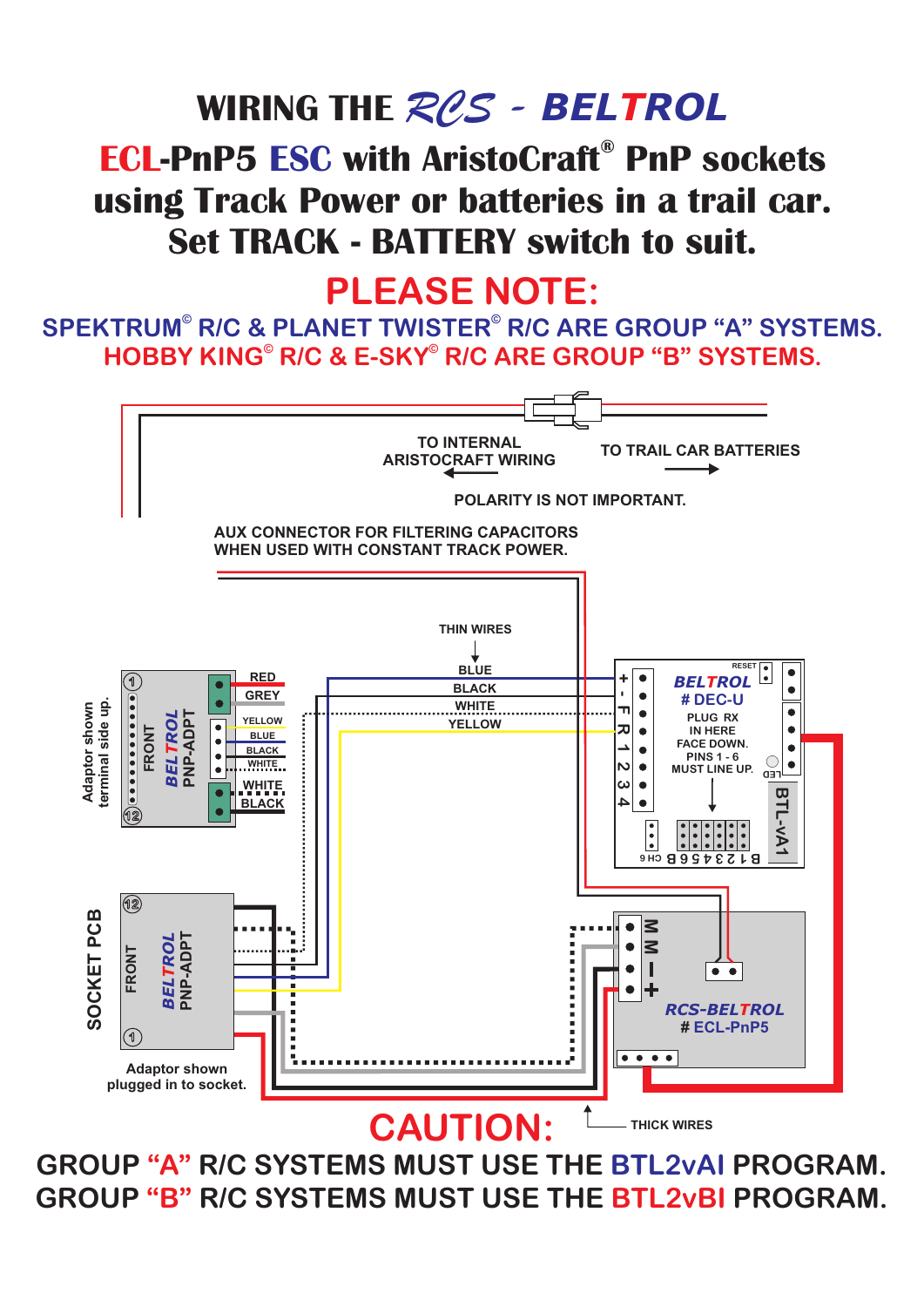# **WIRING THE**  *RCS - BELTROL*

#### **ECL-PnP5 ESC with AristoCraft® PnP sockets using Track Power or batteries in a trail car. Set TRACK - BATTERY switch to suit.**

#### **PLEASE NOTE:**

**HOBBY KING © © R/C & E-SKY R/C ARE GROUP "B" SYSTEMS.**  $\mathsf{SPEKTRUM}^{\circ}$  R/C & PLANET TWISTER $^{\circ}$  R/C ARE GROUP "A" SYSTEMS.



GROUP "A" R/C SYSTEMS MUST USE THE BTL2vAI PROGRAM. GROUP "B" R/C SYSTEMS MUST USE THE BTL2vBI PROGRAM.